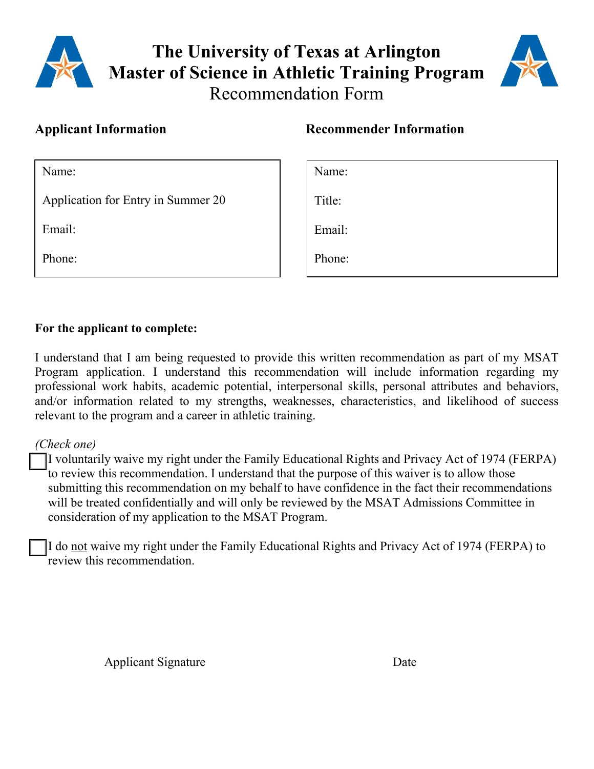

# **The University of Texas at Arlington Master of Science in Athletic Training Program** Recommendation Form



Name:

Application for Entry in Summer 20

Email:

Phone:

# **Applicant Information Recommender Information**

Name:

Title:

Email:

Phone:

## **For the applicant to complete:**

I understand that I am being requested to provide this written recommendation as part of my MSAT Program application. I understand this recommendation will include information regarding my professional work habits, academic potential, interpersonal skills, personal attributes and behaviors, and/or information related to my strengths, weaknesses, characteristics, and likelihood of success relevant to the program and a career in athletic training.

*(Check one)*

I voluntarily waive my right under the Family Educational Rights and Privacy Act of 1974 (FERPA) to review this recommendation. I understand that the purpose of this waiver is to allow those submitting this recommendation on my behalf to have confidence in the fact their recommendations will be treated confidentially and will only be reviewed by the MSAT Admissions Committee in consideration of my application to the MSAT Program.

I do not waive my right under the Family Educational Rights and Privacy Act of 1974 (FERPA) to review this recommendation.

Applicant Signature Date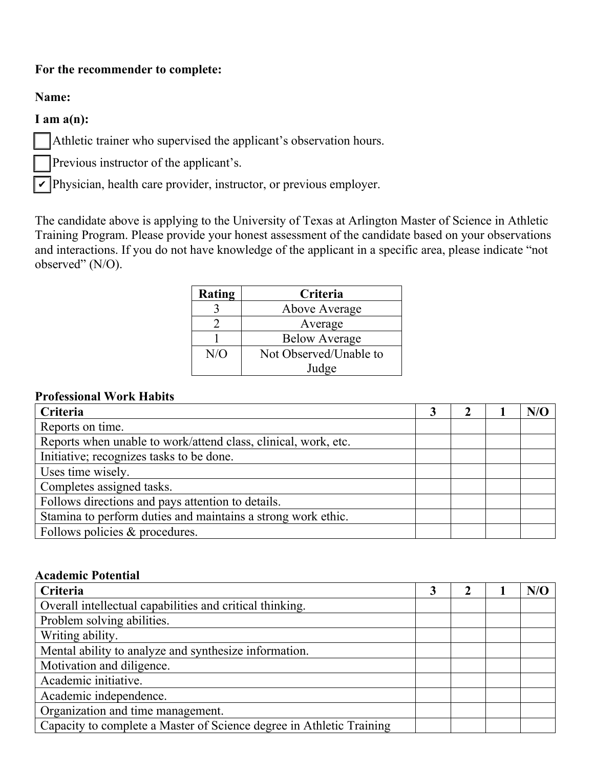#### **For the recommender to complete:**

**Name:** 

#### **I am a(n):**

Athletic trainer who supervised the applicant's observation hours.

Previous instructor of the applicant's.

 $\mathbf{\nabla}$  Physician, health care provider, instructor, or previous employer.

The candidate above is applying to the University of Texas at Arlington Master of Science in Athletic Training Program. Please provide your honest assessment of the candidate based on your observations and interactions. If you do not have knowledge of the applicant in a specific area, please indicate "not observed" (N/O).

| Rating | Criteria               |
|--------|------------------------|
|        | Above Average          |
|        | Average                |
|        | <b>Below Average</b>   |
| N/O    | Not Observed/Unable to |
|        | Judge                  |

#### **Professional Work Habits**

| Criteria                                                       |  |  | N/O |
|----------------------------------------------------------------|--|--|-----|
| Reports on time.                                               |  |  |     |
| Reports when unable to work/attend class, clinical, work, etc. |  |  |     |
| Initiative; recognizes tasks to be done.                       |  |  |     |
| Uses time wisely.                                              |  |  |     |
| Completes assigned tasks.                                      |  |  |     |
| Follows directions and pays attention to details.              |  |  |     |
| Stamina to perform duties and maintains a strong work ethic.   |  |  |     |
| Follows policies & procedures.                                 |  |  |     |

#### **Academic Potential**

| Criteria                                                             |  |  | N/O |
|----------------------------------------------------------------------|--|--|-----|
| Overall intellectual capabilities and critical thinking.             |  |  |     |
| Problem solving abilities.                                           |  |  |     |
| Writing ability.                                                     |  |  |     |
| Mental ability to analyze and synthesize information.                |  |  |     |
| Motivation and diligence.                                            |  |  |     |
| Academic initiative.                                                 |  |  |     |
| Academic independence.                                               |  |  |     |
| Organization and time management.                                    |  |  |     |
| Capacity to complete a Master of Science degree in Athletic Training |  |  |     |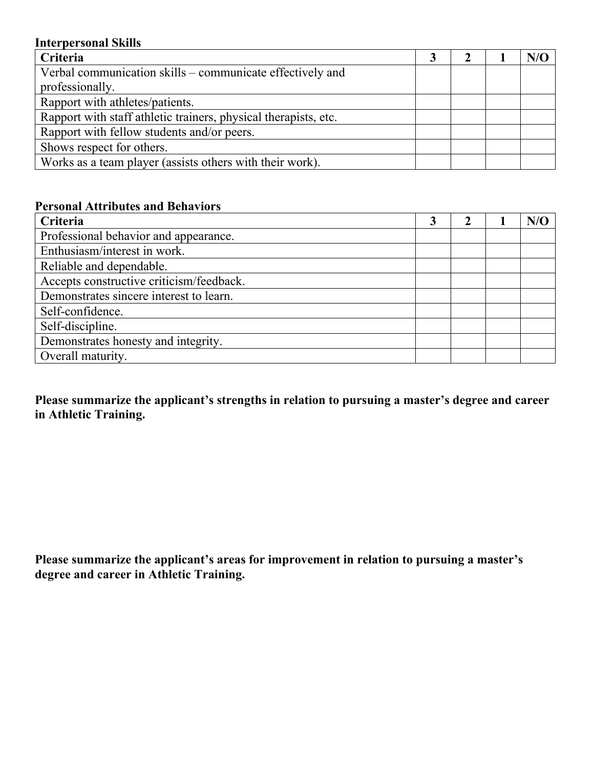#### **Interpersonal Skills**

| Criteria                                                        |  |  | N/C |
|-----------------------------------------------------------------|--|--|-----|
| Verbal communication skills – communicate effectively and       |  |  |     |
| professionally.                                                 |  |  |     |
| Rapport with athletes/patients.                                 |  |  |     |
| Rapport with staff athletic trainers, physical therapists, etc. |  |  |     |
| Rapport with fellow students and/or peers.                      |  |  |     |
| Shows respect for others.                                       |  |  |     |
| Works as a team player (assists others with their work).        |  |  |     |

### **Personal Attributes and Behaviors**

| Criteria                                 |  |  | N/C |
|------------------------------------------|--|--|-----|
| Professional behavior and appearance.    |  |  |     |
| Enthusiasm/interest in work.             |  |  |     |
| Reliable and dependable.                 |  |  |     |
| Accepts constructive criticism/feedback. |  |  |     |
| Demonstrates sincere interest to learn.  |  |  |     |
| Self-confidence.                         |  |  |     |
| Self-discipline.                         |  |  |     |
| Demonstrates honesty and integrity.      |  |  |     |
| Overall maturity.                        |  |  |     |

**Please summarize the applicant's strengths in relation to pursuing a master's degree and career in Athletic Training.**

**Please summarize the applicant's areas for improvement in relation to pursuing a master's degree and career in Athletic Training.**